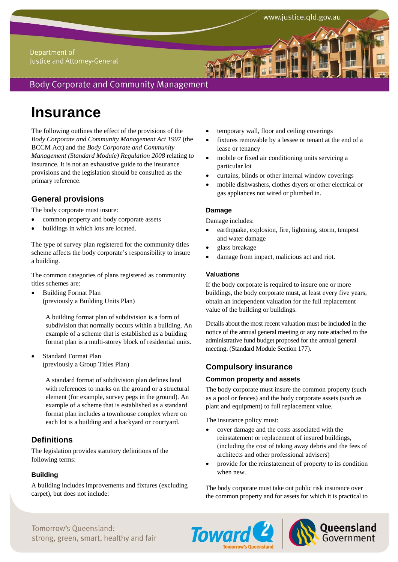### Department of Justice and Attorney-General

## **Body Corporate and Community Management**

# **Insurance**

The following outlines the effect of the provisions of the *Body Corporate and Community Management Act 1997* (the BCCM Act) and the *Body Corporate and Community Management (Standard Module) Regulation 2008* relating to insurance. It is not an exhaustive guide to the insurance provisions and the legislation should be consulted as the primary reference.

## **General provisions**

The body corporate must insure:

- common property and body corporate assets
- buildings in which lots are located.

The type of survey plan registered for the community titles scheme affects the body corporate's responsibility to insure a building.

The common categories of plans registered as community titles schemes are:

 Building Format Plan (previously a Building Units Plan)

> A building format plan of subdivision is a form of subdivision that normally occurs within a building. An example of a scheme that is established as a building format plan is a multi-storey block of residential units.

 Standard Format Plan (previously a Group Titles Plan)

> A standard format of subdivision plan defines land with references to marks on the ground or a structural element (for example, survey pegs in the ground). An example of a scheme that is established as a standard format plan includes a townhouse complex where on each lot is a building and a backyard or courtyard.

## **Definitions**

The legislation provides statutory definitions of the following terms:

#### **Building**

A building includes improvements and fixtures (excluding carpet), but does not include:

- temporary wall, floor and ceiling coverings
- fixtures removable by a lessee or tenant at the end of a lease or tenancy
- mobile or fixed air conditioning units servicing a particular lot
- curtains, blinds or other internal window coverings
- mobile dishwashers, clothes dryers or other electrical or gas appliances not wired or plumbed in.

#### **Damage**

Damage includes:

- earthquake, explosion, fire, lightning, storm, tempest and water damage
- glass breakage
- damage from impact, malicious act and riot.

#### **Valuations**

If the body corporate is required to insure one or more buildings, the body corporate must, at least every five years, obtain an independent valuation for the full replacement value of the building or buildings.

Details about the most recent valuation must be included in the notice of the annual general meeting or any note attached to the administrative fund budget proposed for the annual general meeting. (Standard Module Section 177).

## **Compulsory insurance**

#### **Common property and assets**

The body corporate must insure the common property (such as a pool or fences) and the body corporate assets (such as plant and equipment) to full replacement value.

The insurance policy must:

- cover damage and the costs associated with the reinstatement or replacement of insured buildings, (including the cost of taking away debris and the fees of architects and other professional advisers)
- provide for the reinstatement of property to its condition when new.

The body corporate must take out public risk insurance over the common property and for assets for which it is practical to





Tomorrow's Oueensland: strong, green, smart, healthy and fair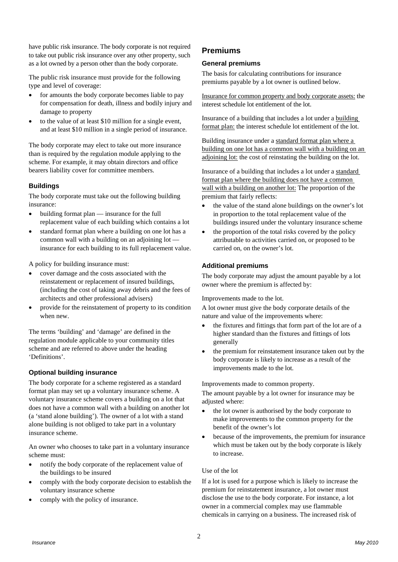have public risk insurance. The body corporate is not required to take out public risk insurance over any other property, such as a lot owned by a person other than the body corporate.

The public risk insurance must provide for the following type and level of coverage:

- for amounts the body corporate becomes liable to pay for compensation for death, illness and bodily injury and damage to property
- to the value of at least \$10 million for a single event, and at least \$10 million in a single period of insurance.

The body corporate may elect to take out more insurance than is required by the regulation module applying to the scheme. For example, it may obtain directors and office bearers liability cover for committee members.

#### **Buildings**

The body corporate must take out the following building insurance:

- building format plan insurance for the full replacement value of each building which contains a lot
- standard format plan where a building on one lot has a common wall with a building on an adjoining lot insurance for each building to its full replacement value.

A policy for building insurance must:

- cover damage and the costs associated with the reinstatement or replacement of insured buildings, (including the cost of taking away debris and the fees of architects and other professional advisers)
- provide for the reinstatement of property to its condition when new.

The terms 'building' and 'damage' are defined in the regulation module applicable to your community titles scheme and are referred to above under the heading 'Definitions'.

#### **Optional building insurance**

The body corporate for a scheme registered as a standard format plan may set up a voluntary insurance scheme. A voluntary insurance scheme covers a building on a lot that does not have a common wall with a building on another lot (a 'stand alone building'). The owner of a lot with a stand alone building is not obliged to take part in a voluntary insurance scheme.

An owner who chooses to take part in a voluntary insurance scheme must:

- notify the body corporate of the replacement value of the buildings to be insured
- comply with the body corporate decision to establish the voluntary insurance scheme
- comply with the policy of insurance.

## **Premiums**

#### **General premiums**

The basis for calculating contributions for insurance premiums payable by a lot owner is outlined below.

Insurance for common property and body corporate assets: the interest schedule lot entitlement of the lot.

Insurance of a building that includes a lot under a building format plan: the interest schedule lot entitlement of the lot.

Building insurance under a standard format plan where a building on one lot has a common wall with a building on an adjoining lot: the cost of reinstating the building on the lot.

Insurance of a building that includes a lot under a standard format plan where the building does not have a common wall with a building on another lot: The proportion of the premium that fairly reflects:

- the value of the stand alone buildings on the owner's lot in proportion to the total replacement value of the buildings insured under the voluntary insurance scheme
- the proportion of the total risks covered by the policy attributable to activities carried on, or proposed to be carried on, on the owner's lot.

#### **Additional premiums**

The body corporate may adjust the amount payable by a lot owner where the premium is affected by:

Improvements made to the lot.

A lot owner must give the body corporate details of the nature and value of the improvements where:

- the fixtures and fittings that form part of the lot are of a higher standard than the fixtures and fittings of lots generally
- the premium for reinstatement insurance taken out by the body corporate is likely to increase as a result of the improvements made to the lot.

Improvements made to common property.

The amount payable by a lot owner for insurance may be adjusted where:

- the lot owner is authorised by the body corporate to make improvements to the common property for the benefit of the owner's lot
- because of the improvements, the premium for insurance which must be taken out by the body corporate is likely to increase.

#### Use of the lot

If a lot is used for a purpose which is likely to increase the premium for reinstatement insurance, a lot owner must disclose the use to the body corporate. For instance, a lot owner in a commercial complex may use flammable chemicals in carrying on a business. The increased risk of